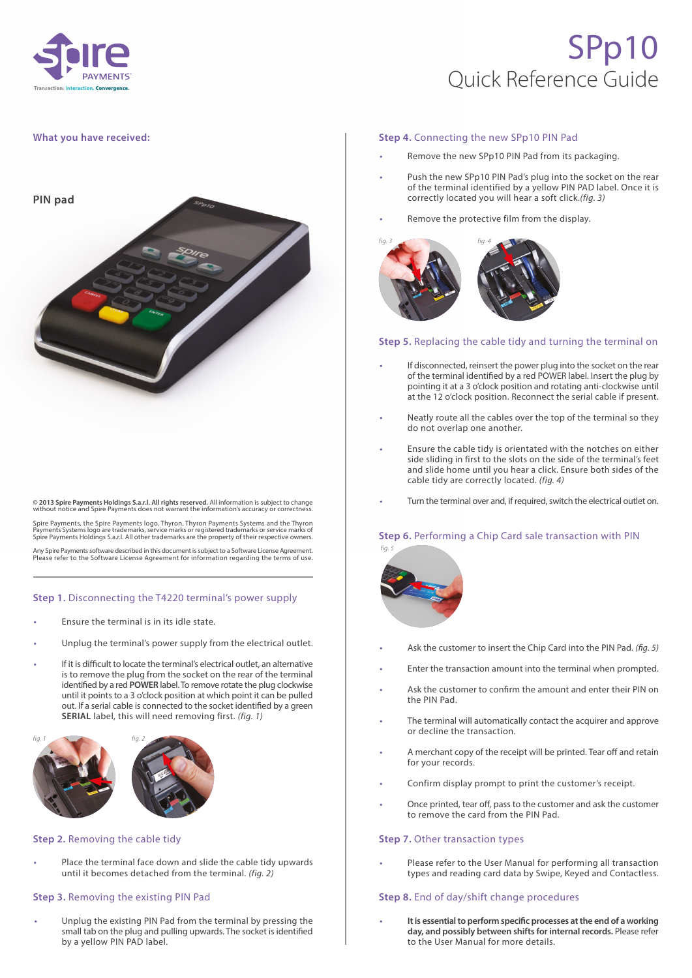

# SPp10 Quick Reference Guide

## **What you have received:**



**© 2013 Spire Payments Holdings S.a.r.l. All rights reserved.** All information is subject to change without notice and Spire Payments does not warrant the information's accuracy or correctnes

Spire Payments, the Spire Payments logo, Thyron, Thyron Payments Systems and the Thyron<br>Payments Systems logo are trademarks, service marks or registered trademarks or service marks of<br>Spire Payments Holdings S.a.r.l. All

Any Spire Payments software described in this document is subject to a Software License Agreement. Please refer to the Software License Agreement for information regarding the terms of use.

## **Step 1.** Disconnecting the T4220 terminal's power supply

- **•** Ensure the terminal is in its idle state.
- **•** Unplug the terminal's power supply from the electrical outlet.
- **•** If it is difficult to locate the terminal's electrical outlet, an alternative is to remove the plug from the socket on the rear of the terminal identified by a red **POWER** label. To remove rotate the plug clockwise until it points to a 3 o'clock position at which point it can be pulled out. If a serial cable is connected to the socket identified by a green **SERIAL** label, this will need removing first. *(fig. 1)*



## **Step 2.** Removing the cable tidy

**•** Place the terminal face down and slide the cable tidy upwards until it becomes detached from the terminal. *(fig. 2)*

## **Step 3.** Removing the existing PIN Pad

**•** Unplug the existing PIN Pad from the terminal by pressing the small tab on the plug and pulling upwards. The socket is identified by a yellow PIN PAD label.

#### **Step 4.** Connecting the new SPp10 PIN Pad

- **•** Remove the new SPp10 PIN Pad from its packaging.
- **•** Push the new SPp10 PIN Pad's plug into the socket on the rear of the terminal identified by a yellow PIN PAD label. Once it is correctly located you will hear a soft click.*(fig. 3)*
- **•** Remove the protective film from the display.



#### **Step 5.** Replacing the cable tidy and turning the terminal on

- **•** If disconnected, reinsert the power plug into the socket on the rear of the terminal identified by a red POWER label. Insert the plug by pointing it at a 3 o'clock position and rotating anti-clockwise until at the 12 o'clock position. Reconnect the serial cable if present.
- **•** Neatly route all the cables over the top of the terminal so they do not overlap one another.
- **•** Ensure the cable tidy is orientated with the notches on either side sliding in first to the slots on the side of the terminal's feet and slide home until you hear a click. Ensure both sides of the cable tidy are correctly located. *(fig. 4)*
- **•** Turn the terminal over and, if required, switch the electrical outlet on.

## **Step 6. Performing a Chip Card sale transaction with PIN**



- **•** Ask the customer to insert the Chip Card into the PIN Pad. *(fig. 5)*
- **•** Enter the transaction amount into the terminal when prompted.
- **•** Ask the customer to confirm the amount and enter their PIN on the PIN Pad.
- **•** The terminal will automatically contact the acquirer and approve or decline the transaction.
- **•** A merchant copy of the receipt will be printed. Tear off and retain for your records.
- **•** Confirm display prompt to print the customer's receipt.
- **•** Once printed, tear off, pass to the customer and ask the customer to remove the card from the PIN Pad.

#### **Step 7. Other transaction types**

**•** Please refer to the User Manual for performing all transaction types and reading card data by Swipe, Keyed and Contactless.

#### **Step 8.** End of day/shift change procedures

**• It is essential to perform specific processes at the end of a working day, and possibly between shifts for internal records.** Please refer to the User Manual for more details.